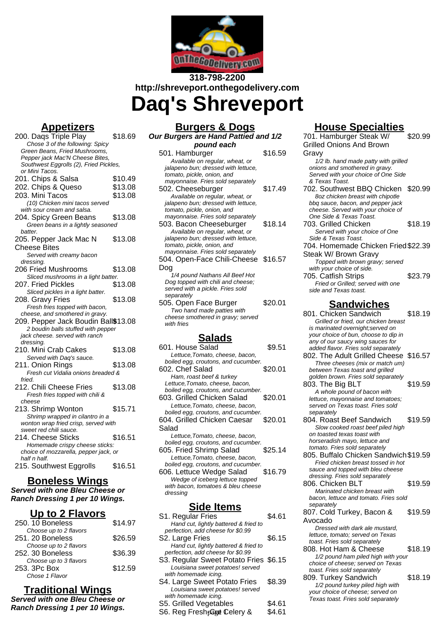

# **318-798-2200 http://shreveport.onthegodelivery.com Daq's Shreveport**

### **Appetizers**

| <u>Appelizers</u>                                        |         |
|----------------------------------------------------------|---------|
| 200. Dags Triple Play<br>Chose 3 of the following: Spicy | \$18.69 |
| Green Beans, Fried Mushrooms,                            |         |
| Pepper jack Mac'N Cheese Bites,                          |         |
| Southwest Eggrolls (2), Fried Pickles,                   |         |
| or Mini Tacos.                                           |         |
|                                                          | \$10.49 |
| 201. Chips & Salsa                                       |         |
| 202. Chips & Queso                                       | \$13.08 |
| 203. Mini Tacos                                          | \$13.08 |
| (10) Chicken mini tacos served                           |         |
| with sour cream and salsa.                               |         |
| 204. Spicy Green Beans                                   | \$13.08 |
| Green beans in a lightly seasoned                        |         |
| batter.                                                  |         |
| 205. Pepper Jack Mac N                                   | \$13.08 |
|                                                          |         |
| Cheese Bites                                             |         |
| Served with creamy bacon                                 |         |
| dressing.                                                |         |
| 206 Fried Mushrooms                                      | \$13.08 |
| Sliced mushrooms in a light batter.                      |         |
| 207. Fried Pickles                                       | \$13.08 |
| Sliced pickles in a light batter.                        |         |
| 208. Gravy Fries                                         | \$13.08 |
| Fresh fries topped with bacon,                           |         |
| cheese, and smothered in gravy.                          |         |
| 209. Pepper Jack Boudin Ball\$13.08                      |         |
| 2 boudin balls stuffed with pepper                       |         |
| jack cheese. served with ranch                           |         |
|                                                          |         |
| dressing.                                                |         |
| 210. Mini Crab Cakes                                     | \$13.08 |
| Served with Daq's sauce.                                 |         |
| 211. Onion Rings                                         | \$13.08 |
| Fresh cut Vidalia onions breaded &                       |         |
| fried.                                                   |         |
| 212. Chili Cheese Fries                                  | \$13.08 |
| Fresh fries topped with chili &                          |         |
| cheese                                                   |         |
| 213. Shrimp Wonton                                       | \$15.71 |
| Shrimp wrapped in cilantro in a                          |         |
| wonton wrap fried crisp, served with                     |         |
| sweet red chili sauce.                                   |         |
| 214. Cheese Sticks                                       | \$16.51 |
| Homemade crispy cheese sticks:                           |         |
| choice of mozzarella, pepper jack, or                    |         |
| half n half.                                             |         |
| 215. Southwest Eggrolls                                  | \$16.51 |
|                                                          |         |
| ~~ \^/¦<br>D,<br>mП.<br>e.                               |         |

#### **Boneless Wings**

**Served with one Bleu Cheese or Ranch Dressing 1 per 10 Wings.**

#### **Up to 2 Flavors**

| 250. 10 Boneless                                         | \$14.97 |
|----------------------------------------------------------|---------|
| Choose up to 2 flavors<br>251. 20 Boneless               | \$26.59 |
| Choose up to 2 flavors<br>252. 30 Boneless               | \$36.39 |
| Choose up to 3 flavors<br>253. 3Pc Box<br>Chose 1 Flavor | \$12.59 |
|                                                          |         |

#### **Traditional Wings**

**Served with one Bleu Cheese or Ranch Dressing 1 per 10 Wings.**

| <b>Burgers &amp; Dogs</b>            |         |
|--------------------------------------|---------|
| Our Burgers are Hand Pattied and 1/2 |         |
| pound each                           |         |
| 501. Hamburger                       | \$16.59 |
| Available on regular, wheat, or      |         |
| jalapeno bun; dressed with lettuce,  |         |
| tomato, pickle, onion, and           |         |
| mayonnaise. Fries sold separately    |         |
| 502. Cheeseburger                    | \$17.49 |
| Available on regular, wheat, or      |         |

jalapeno bun; dressed with lettuce,

- tomato, pickle, onion, and mayonnaise. Fries sold separately 503. Bacon Cheeseburger \$18.14 Available on regular, wheat, or jalapeno bun; dressed with lettuce, tomato, pickle, onion, and mayonnaise. Fries sold separately 504. Open-Face Chili-Cheese \$16.57 Dog 1/4 pound Nathans All Beef Hot Dog topped with chili and cheese; served with a pickle. Fries sold separately 505. Open Face Burger \$20.01
- Two hand made patties with cheese smothered in gravy; served with fries

#### **Salads**

| 601. House Salad                    | \$9.51  |
|-------------------------------------|---------|
| Lettuce, Tomato, cheese, bacon,     |         |
| boiled egg, croutons, and cucumber. |         |
| 602. Chef Salad                     | \$20.01 |
| Ham, roast beef & turkey            |         |
| Lettuce, Tomato, cheese, bacon,     |         |
| boiled egg, croutons, and cucumber. |         |
| 603. Grilled Chicken Salad          | \$20.01 |
| Lettuce, Tomato, cheese, bacon,     |         |
| boiled egg, croutons, and cucumber. |         |
| 604. Grilled Chicken Caesar         | \$20.01 |
| Salad                               |         |
| Lettuce, Tomato, cheese, bacon,     |         |
| boiled egg, croutons, and cucumber. |         |
| 605. Fried Shrimp Salad             | \$25.14 |
| Lettuce, Tomato, cheese, bacon,     |         |
| boiled egg, croutons, and cucumber. |         |
| 606. Lettuce Wedge Salad            | \$16.79 |
| Wedge of iceberg lettuce topped     |         |
| with bacon, tomatoes & bleu cheese  |         |

#### **Side Items**

dressing

| uv nvinv                               |             |
|----------------------------------------|-------------|
| S1. Regular Fries                      | \$4.61      |
| Hand cut, lightly battered & fried to  |             |
| perfection, add cheese for \$0.99      |             |
| S2. Large Fries                        | \$6.15      |
| Hand cut, lightly battered & fried to  |             |
| perfection, add cheese for \$0.99      |             |
| S3. Regular Sweet Potato Fries \$6.15  |             |
| Louisiana sweet potatoes! served       |             |
| with homemade icing.                   |             |
| S4. Large Sweet Potato Fries           | \$8.39      |
| Louisiana sweet potatoes! served       |             |
| with homemade icing.                   |             |
| S5. Grilled Vegetables                 | \$4.61      |
| $OC\_Data\_False\_Count\_Data\_new\_0$ | <b>CACA</b> |

#### S6. Reg Fresh<sub>f</sub>@gt Celery & \$4.61

## **House Specialties**

| 701. Hamburger Steak W/<br><b>Grilled Onions And Brown</b>                   | \$20.99 |
|------------------------------------------------------------------------------|---------|
| Gravy                                                                        |         |
| 1/2 lb. hand made patty with grilled<br>onions and smothered in gravy.       |         |
| Served with your choice of One Side<br>& Texas Toast.                        |         |
| 702. Southwest BBQ Chicken                                                   | \$20.99 |
| 8oz chicken breast with chipotle<br>bbq sauce, bacon, and pepper jack        |         |
| cheese. Served with your choice of<br>One Side & Texas Toast.                |         |
| 703. Grilled Chicken<br>Served with your choice of One                       | \$18.19 |
| Side & Texas Toast.<br>704. Homemade Chicken Fried \$22.39                   |         |
| Steak W/ Brown Gravy                                                         |         |
| Topped with brown gravy; served<br>with your choice of side.                 |         |
| 705. Catfish Strips                                                          | \$23.79 |
| Fried or Grilled; served with one<br>side and Texas toast.                   |         |
| <b>Sandwiches</b>                                                            |         |
| 801. Chicken Sandwich<br>Grilled or fried, our chicken breast                | \$18.19 |
| is marinated overnight; served on<br>your choice of bun, choose to dip in    |         |
| any of our saucy wing sauces for                                             |         |
| added flavor. Fries sold separately<br>802. The Adult Grilled Cheese \$16.57 |         |
| Three cheeses (mix or match um)<br>between Texas toast and grilled           |         |
| golden brown. Fries sold separately<br>803. The Big BLT                      | \$19.59 |
| A whole pound of bacon with                                                  |         |
| lettuce, mayonnaise and tomatoes;<br>served on Texas toast. Fries sold       |         |
| separately<br>804. Roast Beef Sandwich                                       | \$19.59 |
| Slow cooked roast beef piled high<br>on toasted texas toast with             |         |
| horseradish mayo, lettuce and                                                |         |
| tomato. Fries sold separately<br>805. Buffalo Chicken Sandwich \$19.59       |         |
| Fried chicken breast tossed in hot<br>sauce and topped with bleu cheese      |         |
| dressing. Fries sold separately<br>806. Chicken BLT                          | \$19.59 |
| Marinated chicken breast with<br>bacon, lettuce and tomato. Fries sold       |         |
| separately                                                                   |         |
| 807. Cold Turkey, Bacon &<br>Avocado                                         | \$19.59 |
| Dressed with dark ale mustard,<br>lettuce, tomato; served on Texas           |         |
| toast. Fries sold separately                                                 |         |
| 808. Hot Ham & Cheese<br>1/2 pound ham piled high with your                  | \$18.19 |
| choice of cheese; served on Texas<br>toast. Fries sold separately            |         |
| 809. Turkey Sandwich<br>1/2 pound turkey piled high with                     | \$18.19 |
| your choice of cheese; served on<br>Texas toast. Fries sold separately       |         |
|                                                                              |         |